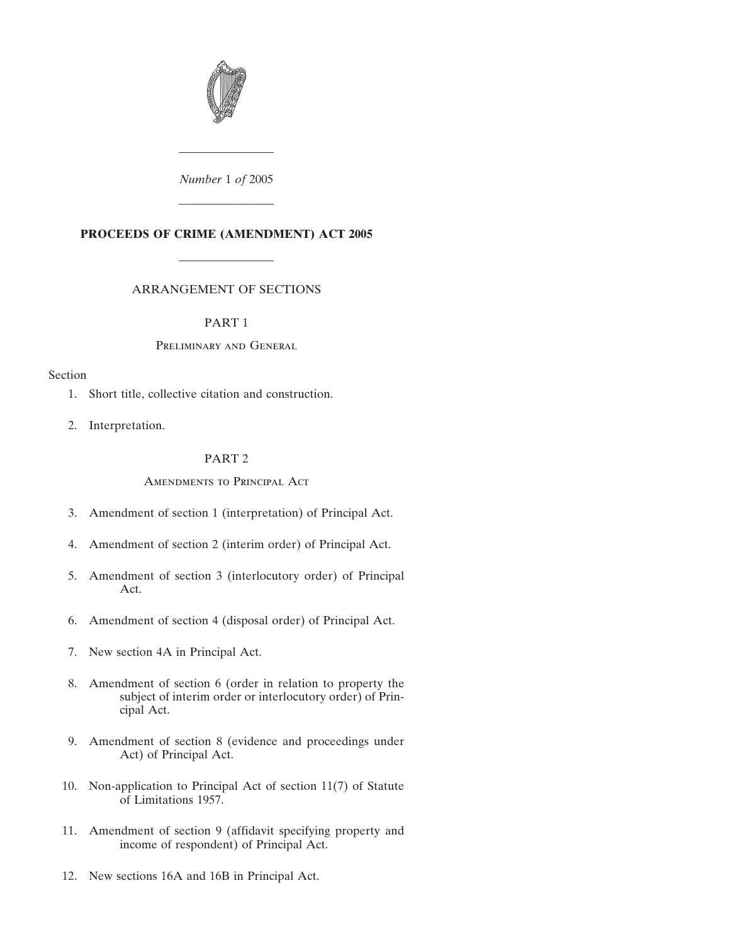

*Number* 1 *of* 2005

————————

————————

## **PROCEEDS OF CRIME (AMENDMENT) ACT 2005**

## ARRANGEMENT OF SECTIONS

————————

## PART 1

## Preliminary and General

## Section

- 1. Short title, collective citation and construction.
- 2. Interpretation.

## PART 2

## Amendments to Principal Act

- 3. Amendment of section 1 (interpretation) of Principal Act.
- 4. Amendment of section 2 (interim order) of Principal Act.
- 5. Amendment of section 3 (interlocutory order) of Principal Act.
- 6. Amendment of section 4 (disposal order) of Principal Act.
- 7. New section 4A in Principal Act.
- 8. Amendment of section 6 (order in relation to property the subject of interim order or interlocutory order) of Principal Act.
- 9. Amendment of section 8 (evidence and proceedings under Act) of Principal Act.
- 10. Non-application to Principal Act of section 11(7) of Statute of Limitations 1957.
- 11. Amendment of section 9 (affidavit specifying property and income of respondent) of Principal Act.
- 12. New sections 16A and 16B in Principal Act.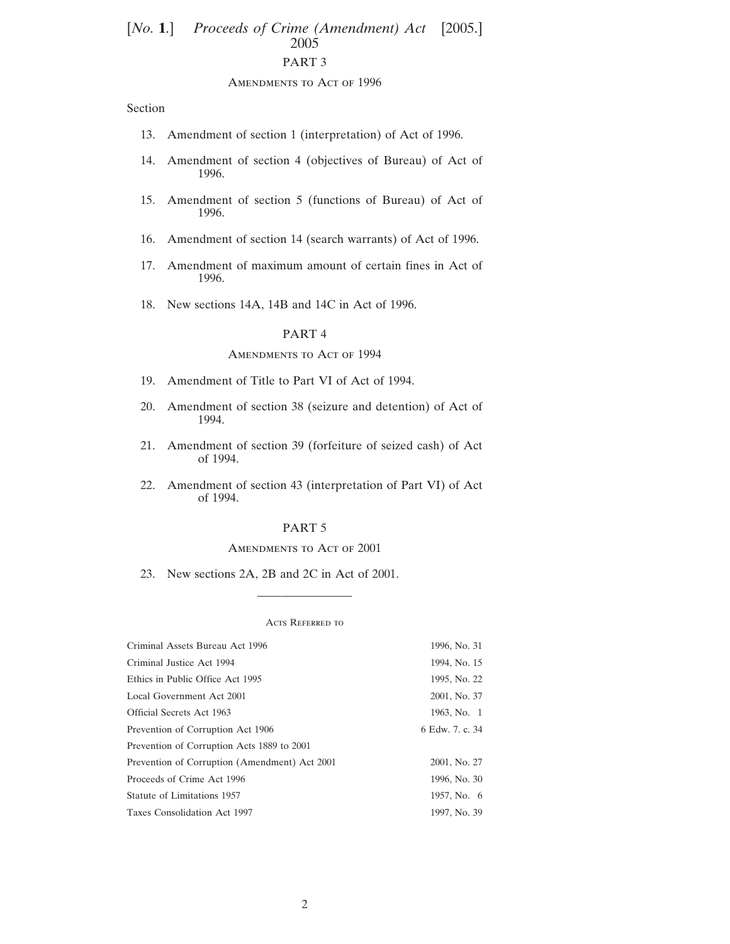# [*No.* **1.**] *Proceeds of Crime (Amendment) Act* [2005.] 2005 PART 3

#### AMENDMENTS TO ACT OF 1996

Section

- 13. Amendment of section 1 (interpretation) of Act of 1996.
- 14. Amendment of section 4 (objectives of Bureau) of Act of 1996.
- 15. Amendment of section 5 (functions of Bureau) of Act of 1996.
- 16. Amendment of section 14 (search warrants) of Act of 1996.
- 17. Amendment of maximum amount of certain fines in Act of 1996.
- 18. New sections 14A, 14B and 14C in Act of 1996.

## PART 4

### AMENDMENTS TO ACT OF 1994

- 19. Amendment of Title to Part VI of Act of 1994.
- 20. Amendment of section 38 (seizure and detention) of Act of 1994.
- 21. Amendment of section 39 (forfeiture of seized cash) of Act of 1994.
- 22. Amendment of section 43 (interpretation of Part VI) of Act of 1994.

## PART 5

#### AMENDMENTS TO ACT OF 2001

23. New sections 2A, 2B and 2C in Act of 2001.

#### Acts Referred to

————————

| Criminal Assets Bureau Act 1996               | 1996, No. 31    |
|-----------------------------------------------|-----------------|
| Criminal Justice Act 1994                     | 1994, No. 15    |
| Ethics in Public Office Act 1995              | 1995, No. 22    |
| Local Government Act 2001                     | 2001, No. 37    |
| Official Secrets Act 1963                     | 1963, No. 1     |
| Prevention of Corruption Act 1906             | 6 Edw. 7. c. 34 |
| Prevention of Corruption Acts 1889 to 2001    |                 |
| Prevention of Corruption (Amendment) Act 2001 | 2001, No. 27    |
| Proceeds of Crime Act 1996                    | 1996, No. 30    |
| Statute of Limitations 1957                   | 1957, No. 6     |
| Taxes Consolidation Act 1997                  | 1997, No. 39    |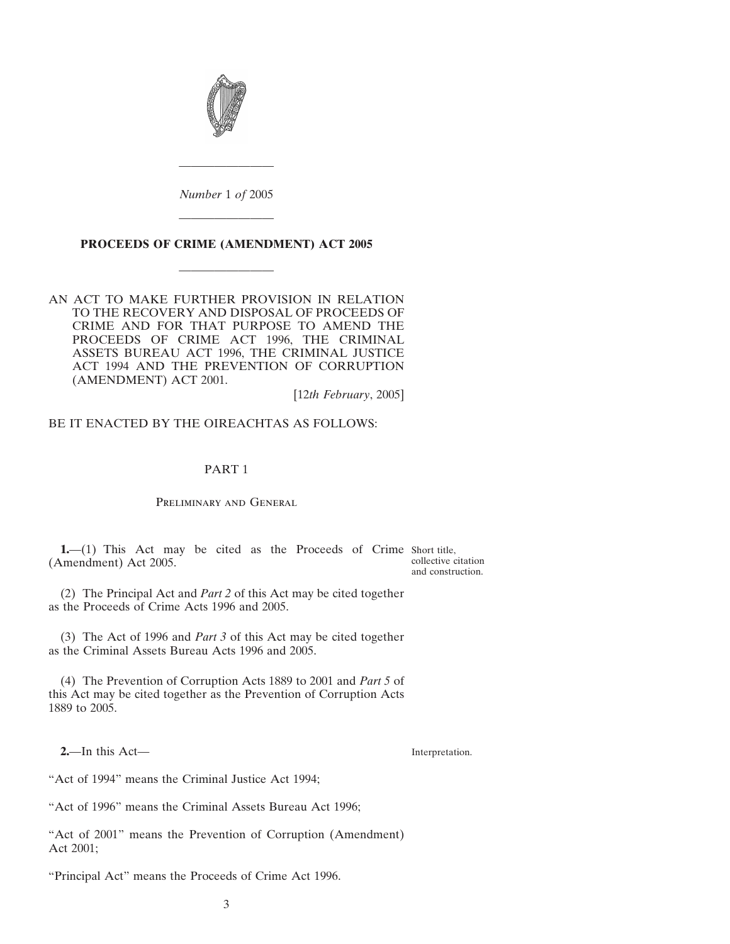

*Number* 1 *of* 2005

————————

### **PROCEEDS OF CRIME (AMENDMENT) ACT 2005**

————————

————————

AN ACT TO MAKE FURTHER PROVISION IN RELATION TO THE RECOVERY AND DISPOSAL OF PROCEEDS OF CRIME AND FOR THAT PURPOSE TO AMEND THE PROCEEDS OF CRIME ACT 1996, THE CRIMINAL ASSETS BUREAU ACT 1996, THE CRIMINAL JUSTICE ACT 1994 AND THE PREVENTION OF CORRUPTION (AMENDMENT) ACT 2001.

[12*th February*, 2005]

BE IT ENACTED BY THE OIREACHTAS AS FOLLOWS:

### PART 1

Preliminary and General

**1.**—(1) This Act may be cited as the Proceeds of Crime Short title, (Amendment) Act 2005.

collective citation and construction.

(2) The Principal Act and *Part 2* of this Act may be cited together as the Proceeds of Crime Acts 1996 and 2005.

(3) The Act of 1996 and *Part 3* of this Act may be cited together as the Criminal Assets Bureau Acts 1996 and 2005.

(4) The Prevention of Corruption Acts 1889 to 2001 and *Part 5* of this Act may be cited together as the Prevention of Corruption Acts 1889 to 2005.

**2.**—In this Act—

Interpretation.

"Act of 1994" means the Criminal Justice Act 1994;

"Act of 1996" means the Criminal Assets Bureau Act 1996;

"Act of 2001" means the Prevention of Corruption (Amendment) Act 2001;

"Principal Act" means the Proceeds of Crime Act 1996.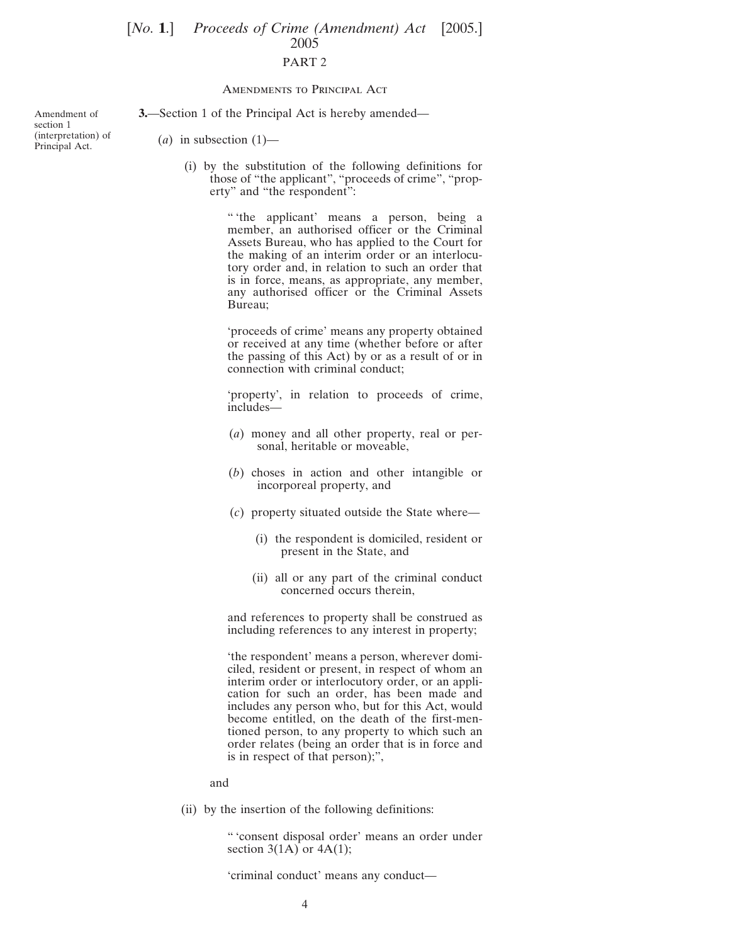## [*No.* **1.**] *Proceeds of Crime (Amendment) Act* [2005.] 2005 PART 2

#### Amendments to Principal Act

**3.**—Section 1 of the Principal Act is hereby amended—

Amendment of section 1 (interpretation) of Principal Act.

 $(a)$  in subsection  $(1)$ —

(i) by the substitution of the following definitions for those of "the applicant", "proceeds of crime", "property" and "the respondent":

> " 'the applicant' means a person, being a member, an authorised officer or the Criminal Assets Bureau, who has applied to the Court for the making of an interim order or an interlocutory order and, in relation to such an order that is in force, means, as appropriate, any member, any authorised officer or the Criminal Assets Bureau;

> 'proceeds of crime' means any property obtained or received at any time (whether before or after the passing of this Act) by or as a result of or in connection with criminal conduct;

> 'property', in relation to proceeds of crime, includes—

- (*a*) money and all other property, real or personal, heritable or moveable,
- (*b*) choses in action and other intangible or incorporeal property, and
- (*c*) property situated outside the State where—
	- (i) the respondent is domiciled, resident or present in the State, and
	- (ii) all or any part of the criminal conduct concerned occurs therein,

and references to property shall be construed as including references to any interest in property;

'the respondent' means a person, wherever domiciled, resident or present, in respect of whom an interim order or interlocutory order, or an application for such an order, has been made and includes any person who, but for this Act, would become entitled, on the death of the first-mentioned person, to any property to which such an order relates (being an order that is in force and is in respect of that person);",

and

(ii) by the insertion of the following definitions:

" 'consent disposal order' means an order under section  $3(1A)$  or  $4A(1)$ ;

'criminal conduct' means any conduct—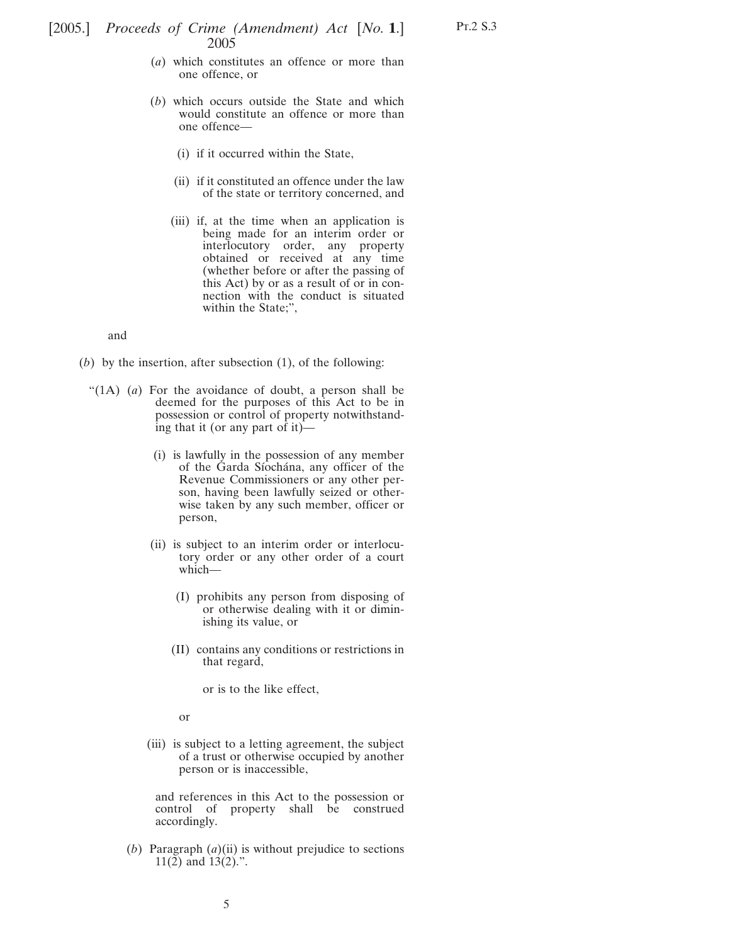- Pt.2 S.3
- (*a*) which constitutes an offence or more than one offence, or
- (*b*) which occurs outside the State and which would constitute an offence or more than one offence—
	- (i) if it occurred within the State,
	- (ii) if it constituted an offence under the law of the state or territory concerned, and
	- (iii) if, at the time when an application is being made for an interim order or interlocutory order, any property obtained or received at any time (whether before or after the passing of this Act) by or as a result of or in connection with the conduct is situated within the State;",

and

- (*b*) by the insertion, after subsection (1), of the following:
	- "(1A) (*a*) For the avoidance of doubt, a person shall be deemed for the purposes of this Act to be in possession or control of property notwithstanding that it (or any part of it)—
		- (i) is lawfully in the possession of any member of the Garda Síochána, any officer of the Revenue Commissioners or any other person, having been lawfully seized or otherwise taken by any such member, officer or person,
		- (ii) is subject to an interim order or interlocutory order or any other order of a court which—
			- (I) prohibits any person from disposing of or otherwise dealing with it or diminishing its value, or
			- (II) contains any conditions or restrictions in that regard,

or is to the like effect,

or

(iii) is subject to a letting agreement, the subject of a trust or otherwise occupied by another person or is inaccessible,

and references in this Act to the possession or control of property shall be construed accordingly.

(*b*) Paragraph (*a*)(ii) is without prejudice to sections 11(2) and 13(2).".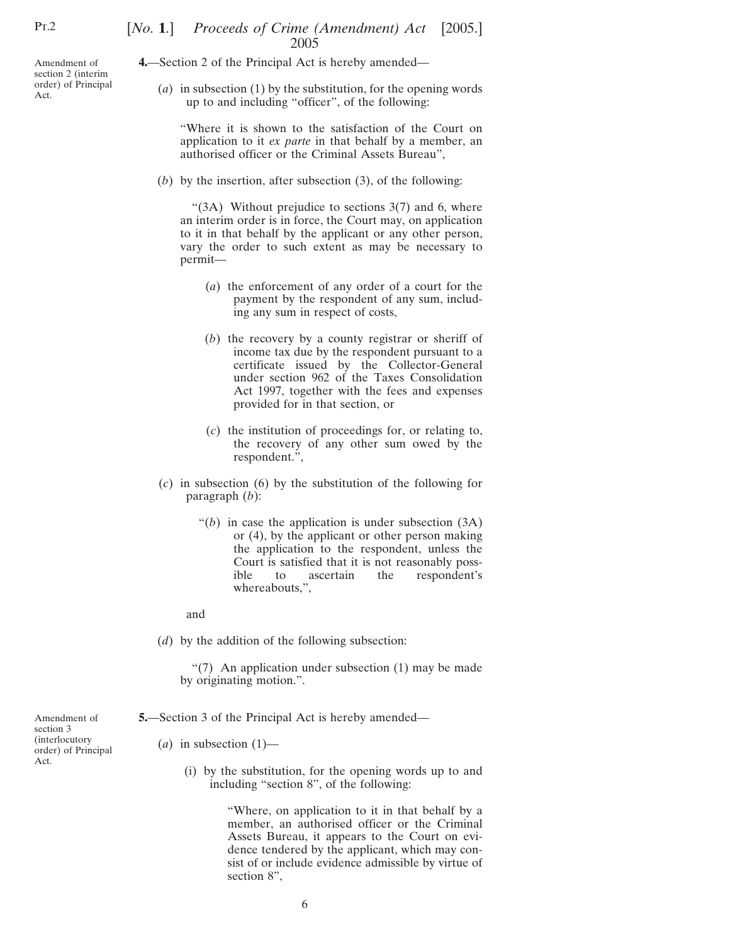Amendment of section 2 (interim order) of Principal Act.

## [*No.* **1**.] *Proceeds of Crime (Amendment) Act* [2005.] 2005

**4.**—Section 2 of the Principal Act is hereby amended—

(*a*) in subsection (1) by the substitution, for the opening words up to and including "officer", of the following:

"Where it is shown to the satisfaction of the Court on application to it *ex parte* in that behalf by a member, an authorised officer or the Criminal Assets Bureau",

(*b*) by the insertion, after subsection (3), of the following:

" $(3A)$  Without prejudice to sections  $3(7)$  and 6, where an interim order is in force, the Court may, on application to it in that behalf by the applicant or any other person, vary the order to such extent as may be necessary to permit—

- (*a*) the enforcement of any order of a court for the payment by the respondent of any sum, including any sum in respect of costs,
- (*b*) the recovery by a county registrar or sheriff of income tax due by the respondent pursuant to a certificate issued by the Collector-General under section 962 of the Taxes Consolidation Act 1997, together with the fees and expenses provided for in that section, or
- (*c*) the institution of proceedings for, or relating to, the recovery of any other sum owed by the respondent.",
- (*c*) in subsection (6) by the substitution of the following for paragraph (*b*):
	- " $(b)$  in case the application is under subsection  $(3A)$ or (4), by the applicant or other person making the application to the respondent, unless the Court is satisfied that it is not reasonably possible to ascertain the respondent's whereabouts,",

and

(*d*) by the addition of the following subsection:

"(7) An application under subsection (1) may be made by originating motion.".

- **5.**—Section 3 of the Principal Act is hereby amended—
	- $(a)$  in subsection  $(1)$ 
		- (i) by the substitution, for the opening words up to and including "section 8", of the following:

"Where, on application to it in that behalf by a member, an authorised officer or the Criminal Assets Bureau, it appears to the Court on evidence tendered by the applicant, which may consist of or include evidence admissible by virtue of section 8".

Amendment of section 3 (interlocutory order) of Principal Act.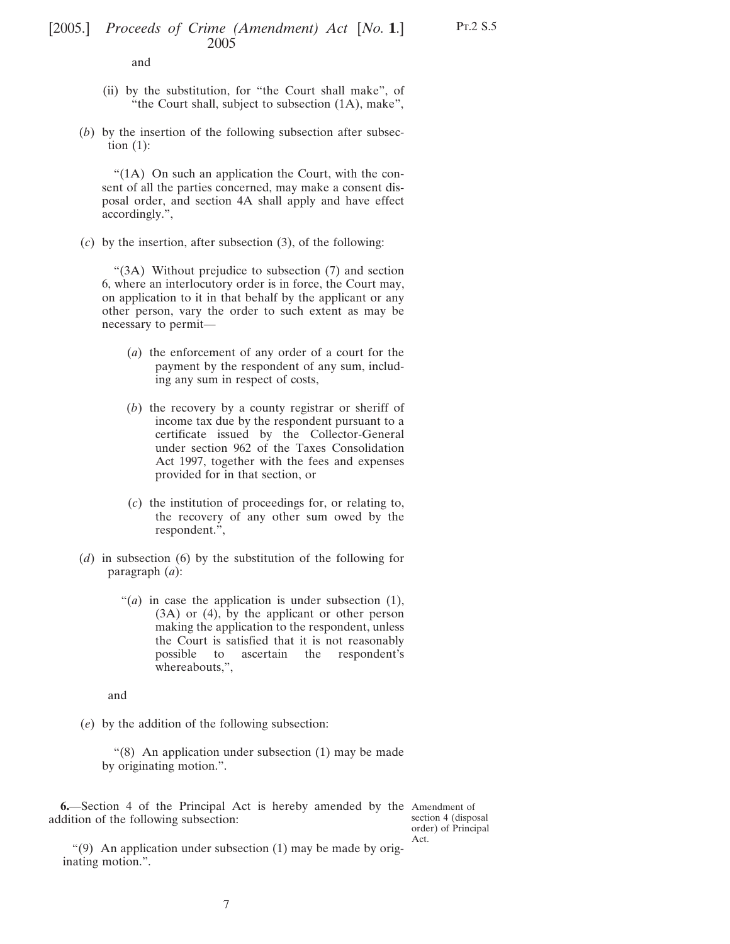and

- (ii) by the substitution, for "the Court shall make", of "the Court shall, subject to subsection (1A), make",
- (*b*) by the insertion of the following subsection after subsection  $(1)$ :

"(1A) On such an application the Court, with the consent of all the parties concerned, may make a consent disposal order, and section 4A shall apply and have effect accordingly.",

(*c*) by the insertion, after subsection (3), of the following:

"(3A) Without prejudice to subsection (7) and section 6, where an interlocutory order is in force, the Court may, on application to it in that behalf by the applicant or any other person, vary the order to such extent as may be necessary to permit—

- (*a*) the enforcement of any order of a court for the payment by the respondent of any sum, including any sum in respect of costs,
- (*b*) the recovery by a county registrar or sheriff of income tax due by the respondent pursuant to a certificate issued by the Collector-General under section 962 of the Taxes Consolidation Act 1997, together with the fees and expenses provided for in that section, or
- (*c*) the institution of proceedings for, or relating to, the recovery of any other sum owed by the respondent.",
- (*d*) in subsection (6) by the substitution of the following for paragraph (*a*):
	- "(*a*) in case the application is under subsection (1), (3A) or (4), by the applicant or other person making the application to the respondent, unless the Court is satisfied that it is not reasonably possible to ascertain the respondent's whereabouts,",

and

(*e*) by the addition of the following subsection:

"(8) An application under subsection (1) may be made by originating motion.".

**6.**—Section 4 of the Principal Act is hereby amended by the Amendment of addition of the following subsection:

section 4 (disposal order) of Principal Act.

"(9) An application under subsection (1) may be made by originating motion.".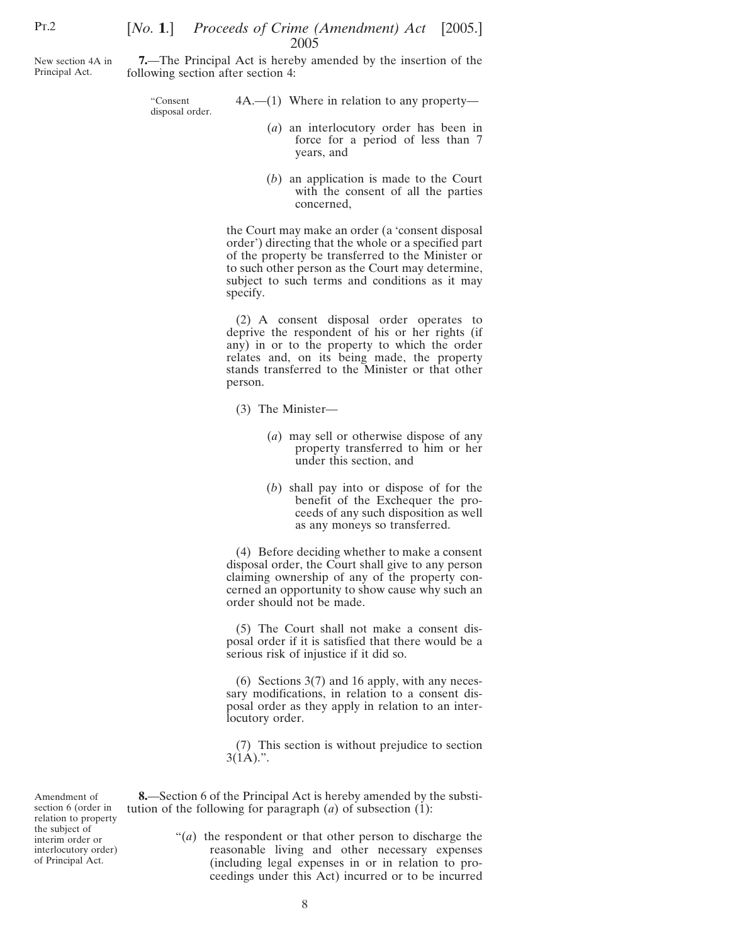## [*No.* **1.**] *Proceeds of Crime (Amendment) Act* [2005.] 2005

New section 4A in Principal Act.

**7.**—The Principal Act is hereby amended by the insertion of the following section after section 4:

> "Consent disposal order.

- 4A.—(1) Where in relation to any property—
	- (*a*) an interlocutory order has been in force for a period of less than 7 years, and
	- (*b*) an application is made to the Court with the consent of all the parties concerned,

the Court may make an order (a 'consent disposal order') directing that the whole or a specified part of the property be transferred to the Minister or to such other person as the Court may determine, subject to such terms and conditions as it may specify.

(2) A consent disposal order operates to deprive the respondent of his or her rights (if any) in or to the property to which the order relates and, on its being made, the property stands transferred to the Minister or that other person.

- (3) The Minister—
	- (*a*) may sell or otherwise dispose of any property transferred to him or her under this section, and
	- (*b*) shall pay into or dispose of for the benefit of the Exchequer the proceeds of any such disposition as well as any moneys so transferred.

(4) Before deciding whether to make a consent disposal order, the Court shall give to any person claiming ownership of any of the property concerned an opportunity to show cause why such an order should not be made.

(5) The Court shall not make a consent disposal order if it is satisfied that there would be a serious risk of injustice if it did so.

(6) Sections 3(7) and 16 apply, with any necessary modifications, in relation to a consent disposal order as they apply in relation to an interlocutory order.

(7) This section is without prejudice to section  $3(1A)$ .".

Amendment of section 6 (order in relation to property the subject of interim order or interlocutory order) of Principal Act.

**8.**—Section 6 of the Principal Act is hereby amended by the substitution of the following for paragraph (*a*) of subsection (1):

> "(*a*) the respondent or that other person to discharge the reasonable living and other necessary expenses (including legal expenses in or in relation to proceedings under this Act) incurred or to be incurred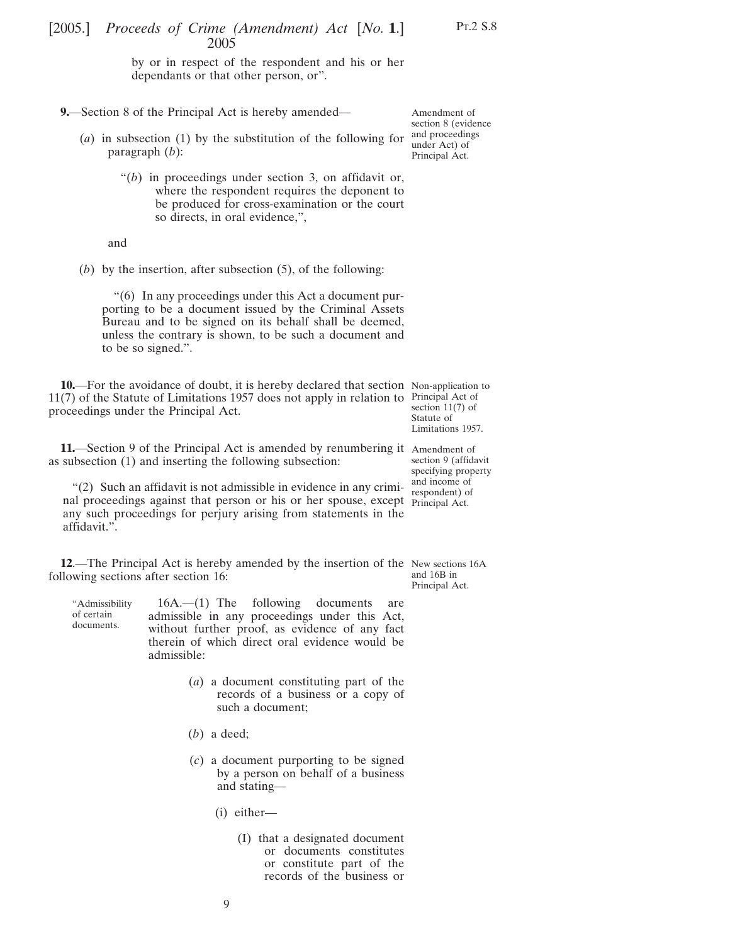by or in respect of the respondent and his or her dependants or that other person, or".

**9.**—Section 8 of the Principal Act is hereby amended—

- (*a*) in subsection (1) by the substitution of the following for paragraph (*b*):
	- "(*b*) in proceedings under section 3, on affidavit or, where the respondent requires the deponent to be produced for cross-examination or the court so directs, in oral evidence,",

and

(*b*) by the insertion, after subsection (5), of the following:

"(6) In any proceedings under this Act a document purporting to be a document issued by the Criminal Assets Bureau and to be signed on its behalf shall be deemed, unless the contrary is shown, to be such a document and to be so signed.".

**10.**—For the avoidance of doubt, it is hereby declared that section Non-application to 11(7) of the Statute of Limitations 1957 does not apply in relation to Principal Act of proceedings under the Principal Act.

section 11(7) of Statute of Limitations 1957.

section 9 (affidavit specifying property

**11.**—Section 9 of the Principal Act is amended by renumbering it Amendment of as subsection (1) and inserting the following subsection:

"(2) Such an affidavit is not admissible in evidence in any criminal proceedings against that person or his or her spouse, except Principal Act. any such proceedings for perjury arising from statements in the affidavit.". and income of respondent) of

**12**.—The Principal Act is hereby amended by the insertion of the New sections 16A following sections after section 16: and 16B in Principal Act.

"Admissibility of certain documents.

16A.—(1) The following documents are admissible in any proceedings under this Act, without further proof, as evidence of any fact therein of which direct oral evidence would be admissible:

- (*a*) a document constituting part of the records of a business or a copy of such a document;
- (*b*) a deed;
- (*c*) a document purporting to be signed by a person on behalf of a business and stating—
	- (i) either—
		- (I) that a designated document or documents constitutes or constitute part of the records of the business or

Amendment of section 8 (evidence and proceedings under Act) of Principal Act.

Pt.2 S.8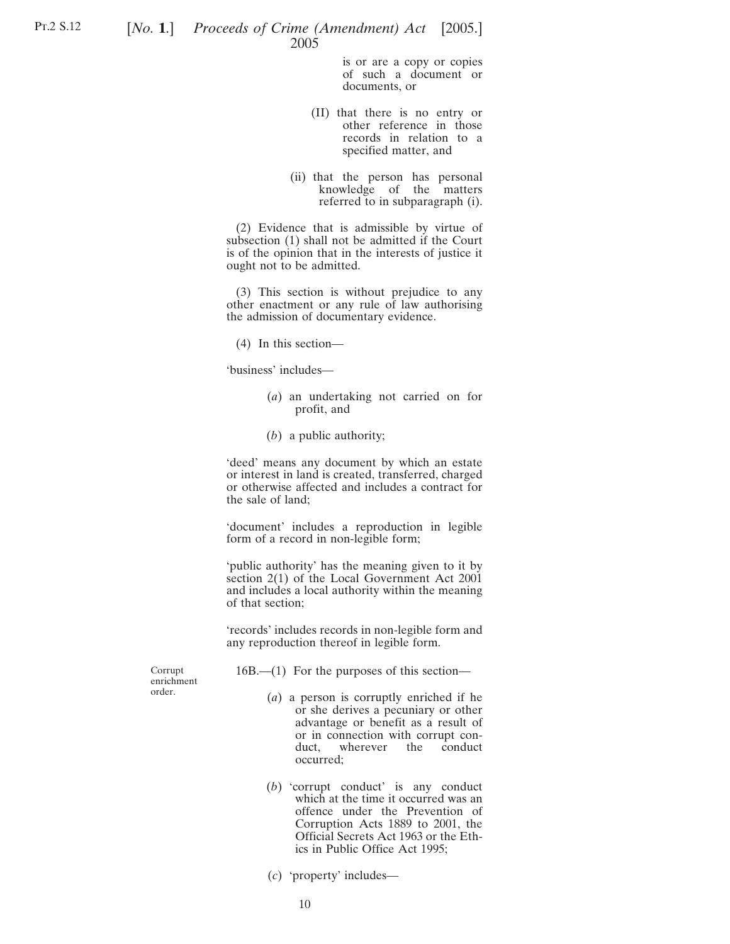is or are a copy or copies of such a document or documents, or

- (II) that there is no entry or other reference in those records in relation to a specified matter, and
- (ii) that the person has personal knowledge of the matters referred to in subparagraph (i).

(2) Evidence that is admissible by virtue of subsection (1) shall not be admitted if the Court is of the opinion that in the interests of justice it ought not to be admitted.

(3) This section is without prejudice to any other enactment or any rule of law authorising the admission of documentary evidence.

(4) In this section—

'business' includes—

- (*a*) an undertaking not carried on for profit, and
- (*b*) a public authority;

'deed' means any document by which an estate or interest in land is created, transferred, charged or otherwise affected and includes a contract for the sale of land;

'document' includes a reproduction in legible form of a record in non-legible form;

'public authority' has the meaning given to it by section 2(1) of the Local Government Act 2001 and includes a local authority within the meaning of that section;

'records' includes records in non-legible form and any reproduction thereof in legible form.

Corrupt enrichment order.

- 16B.—(1) For the purposes of this section—
	- (*a*) a person is corruptly enriched if he or she derives a pecuniary or other advantage or benefit as a result of or in connection with corrupt conduct, wherever the conduct occurred;
	- (*b*) 'corrupt conduct' is any conduct which at the time it occurred was an offence under the Prevention of Corruption Acts 1889 to 2001, the Official Secrets Act 1963 or the Ethics in Public Office Act 1995;
	- (*c*) 'property' includes—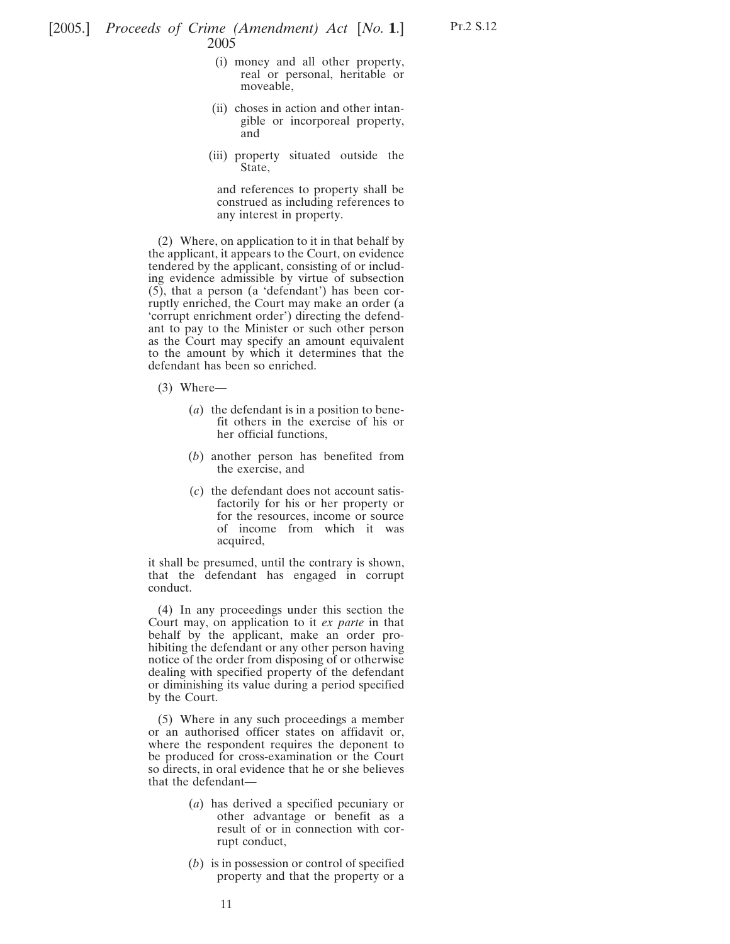- (i) money and all other property, real or personal, heritable or moveable,
- (ii) choses in action and other intangible or incorporeal property, and
- (iii) property situated outside the State,

and references to property shall be construed as including references to any interest in property.

(2) Where, on application to it in that behalf by the applicant, it appears to the Court, on evidence tendered by the applicant, consisting of or including evidence admissible by virtue of subsection (5), that a person (a 'defendant') has been corruptly enriched, the Court may make an order (a 'corrupt enrichment order') directing the defendant to pay to the Minister or such other person as the Court may specify an amount equivalent to the amount by which it determines that the defendant has been so enriched.

- (3) Where—
	- (*a*) the defendant is in a position to benefit others in the exercise of his or her official functions,
	- (*b*) another person has benefited from the exercise, and
	- (*c*) the defendant does not account satisfactorily for his or her property or for the resources, income or source of income from which it was acquired,

it shall be presumed, until the contrary is shown, that the defendant has engaged in corrupt conduct.

(4) In any proceedings under this section the Court may, on application to it *ex parte* in that behalf by the applicant, make an order prohibiting the defendant or any other person having notice of the order from disposing of or otherwise dealing with specified property of the defendant or diminishing its value during a period specified by the Court.

(5) Where in any such proceedings a member or an authorised officer states on affidavit or, where the respondent requires the deponent to be produced for cross-examination or the Court so directs, in oral evidence that he or she believes that the defendant—

- (*a*) has derived a specified pecuniary or other advantage or benefit as a result of or in connection with corrupt conduct,
- (*b*) is in possession or control of specified property and that the property or a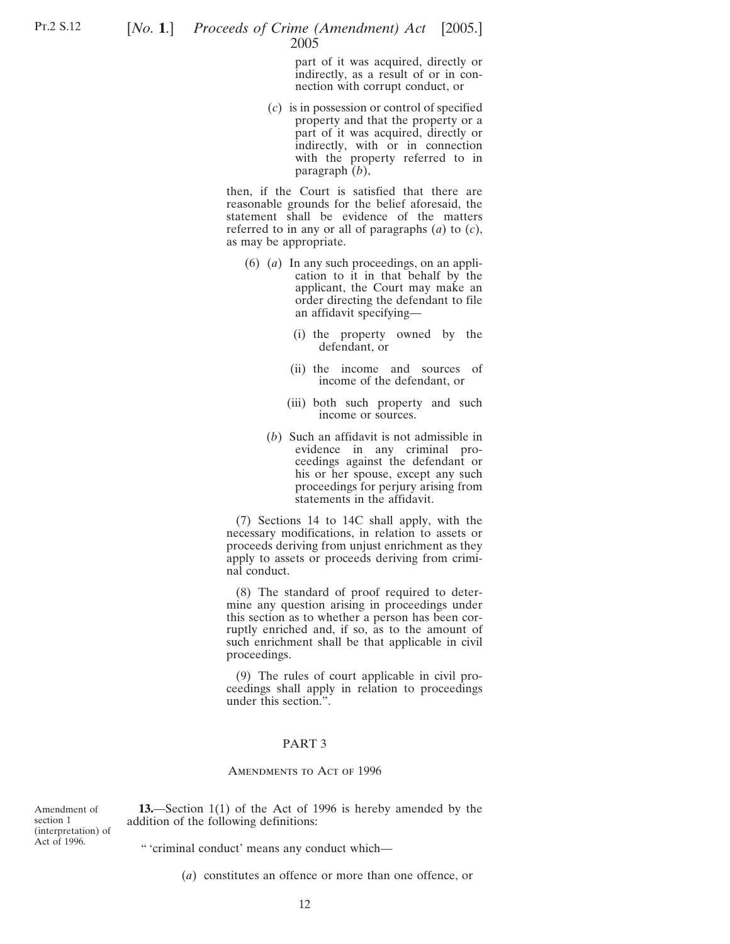part of it was acquired, directly or indirectly, as a result of or in connection with corrupt conduct, or

(*c*) is in possession or control of specified property and that the property or a part of it was acquired, directly or indirectly, with or in connection with the property referred to in paragraph (*b*),

then, if the Court is satisfied that there are reasonable grounds for the belief aforesaid, the statement shall be evidence of the matters referred to in any or all of paragraphs (*a*) to (*c*), as may be appropriate.

- (6) (*a*) In any such proceedings, on an application to it in that behalf by the applicant, the Court may make an order directing the defendant to file an affidavit specifying—
	- (i) the property owned by the defendant, or
	- (ii) the income and sources of income of the defendant, or
	- (iii) both such property and such income or sources.
	- (*b*) Such an affidavit is not admissible in evidence in any criminal proceedings against the defendant or his or her spouse, except any such proceedings for perjury arising from statements in the affidavit.

(7) Sections 14 to 14C shall apply, with the necessary modifications, in relation to assets or proceeds deriving from unjust enrichment as they apply to assets or proceeds deriving from criminal conduct.

(8) The standard of proof required to determine any question arising in proceedings under this section as to whether a person has been corruptly enriched and, if so, as to the amount of such enrichment shall be that applicable in civil proceedings.

(9) The rules of court applicable in civil proceedings shall apply in relation to proceedings under this section.".

#### PART 3

#### AMENDMENTS TO ACT OF 1996

Amendment of section 1 (interpretation) of Act of 1996.

**13.**—Section 1(1) of the Act of 1996 is hereby amended by the addition of the following definitions:

" 'criminal conduct' means any conduct which—

(*a*) constitutes an offence or more than one offence, or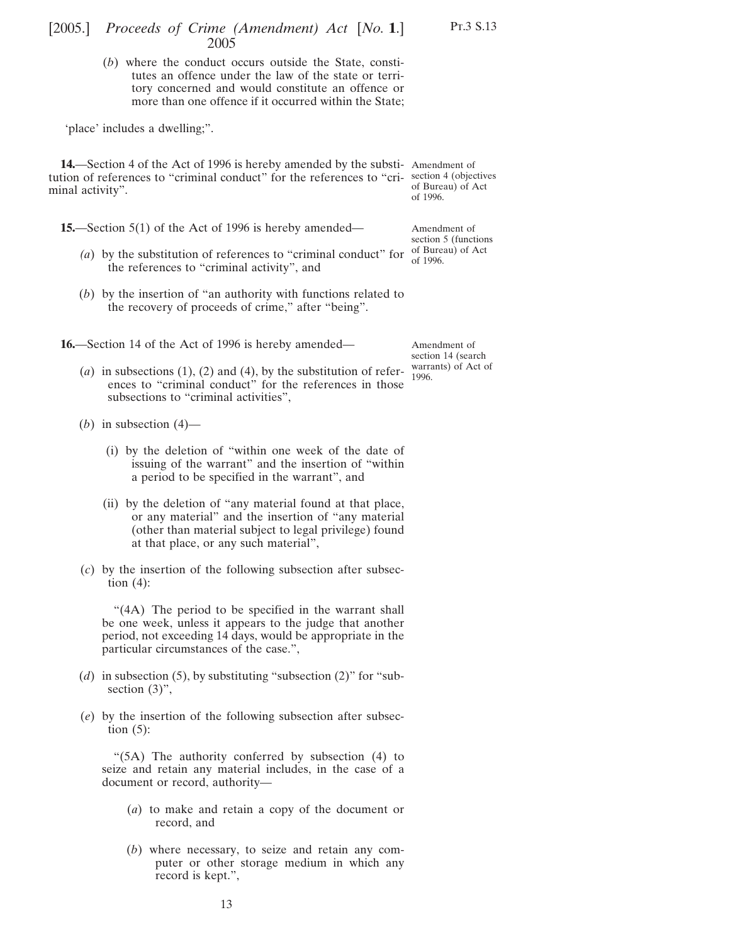## [2005.] [ *Proceeds of Crime (Amendment) Act No.* **1**.] 2005

(*b*) where the conduct occurs outside the State, constitutes an offence under the law of the state or territory concerned and would constitute an offence or more than one offence if it occurred within the State;

'place' includes a dwelling;".

**14.**—Section 4 of the Act of 1996 is hereby amended by the substi-Amendment of tution of references to "criminal conduct" for the references to "cri-section 4 (objectives minal activity".

**15.**—Section 5(1) of the Act of 1996 is hereby amended—

- (a) by the substitution of references to "criminal conduct" for  $\frac{\text{of Bureau}}{\text{of }1006}$  of Act the references to "criminal activity", and
- (*b*) by the insertion of "an authority with functions related to the recovery of proceeds of crime," after "being".

**16.**—Section 14 of the Act of 1996 is hereby amended—

Amendment of section 14 (search warrants) of Act of 1996.

- (*a*) in subsections  $(1)$ ,  $(2)$  and  $(4)$ , by the substitution of references to "criminal conduct" for the references in those subsections to "criminal activities",
- (*b*) in subsection  $(4)$ 
	- (i) by the deletion of "within one week of the date of issuing of the warrant" and the insertion of "within a period to be specified in the warrant", and
	- (ii) by the deletion of "any material found at that place, or any material" and the insertion of "any material (other than material subject to legal privilege) found at that place, or any such material",
- (*c*) by the insertion of the following subsection after subsection  $(4)$ :

"(4A) The period to be specified in the warrant shall be one week, unless it appears to the judge that another period, not exceeding 14 days, would be appropriate in the particular circumstances of the case.",

- (*d*) in subsection (5), by substituting "subsection (2)" for "subsection  $(3)$ ",
- (*e*) by the insertion of the following subsection after subsection  $(5)$ :

"(5A) The authority conferred by subsection (4) to seize and retain any material includes, in the case of a document or record, authority—

- (*a*) to make and retain a copy of the document or record, and
- (*b*) where necessary, to seize and retain any computer or other storage medium in which any record is kept.",

of Bureau) of Act of 1996.

Amendment of section 5 (functions of 1996.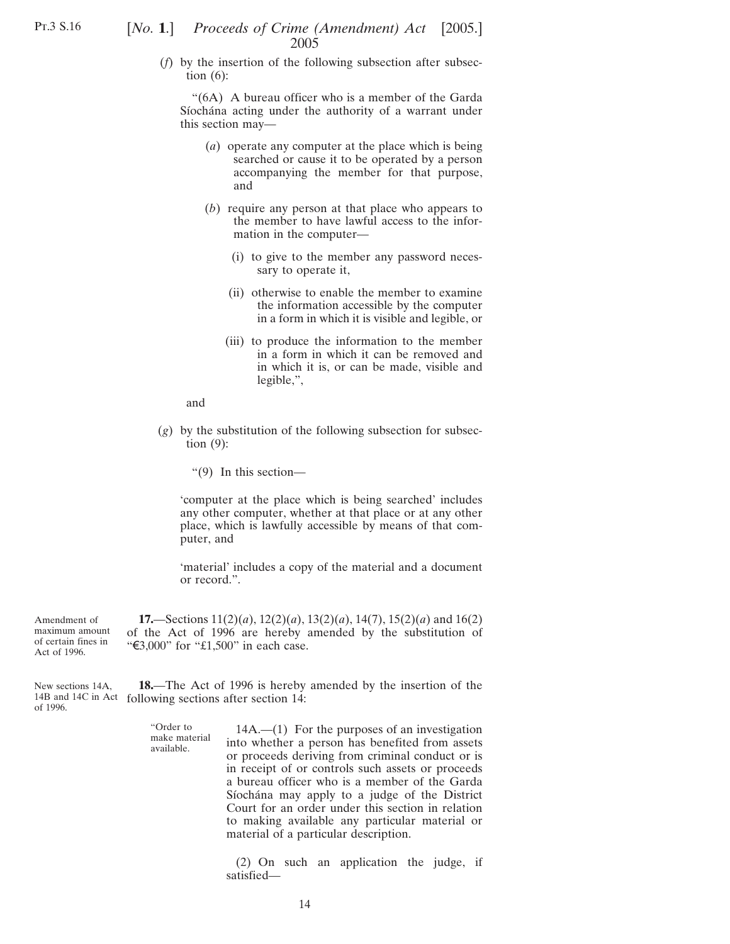Pt.3 S.16

## [*No.* **1**.] *Proceeds of Crime (Amendment) Act* [2005.] 2005

(*f*) by the insertion of the following subsection after subsection  $(6)$ :

"(6A) A bureau officer who is a member of the Garda Síochána acting under the authority of a warrant under this section may—

- (*a*) operate any computer at the place which is being searched or cause it to be operated by a person accompanying the member for that purpose, and
- (*b*) require any person at that place who appears to the member to have lawful access to the information in the computer—
	- (i) to give to the member any password necessary to operate it,
	- (ii) otherwise to enable the member to examine the information accessible by the computer in a form in which it is visible and legible, or
	- (iii) to produce the information to the member in a form in which it can be removed and in which it is, or can be made, visible and legible,",

and

(*g*) by the substitution of the following subsection for subsection (9):

"(9) In this section—

'computer at the place which is being searched' includes any other computer, whether at that place or at any other place, which is lawfully accessible by means of that computer, and

'material' includes a copy of the material and a document or record.".

Amendment of maximum amount of certain fines in Act of 1996. **17.**—Sections 11(2)(*a*), 12(2)(*a*), 13(2)(*a*), 14(7), 15(2)(*a*) and 16(2) of the Act of 1996 are hereby amended by the substitution of " $\text{\textsterling}3,000$ " for " $\text{\textsterling}1,500$ " in each case.

New sections 14A, 14B and 14C in Act following sections after section 14: of 1996. **18.**—The Act of 1996 is hereby amended by the insertion of the

> "Order to make material available.

14A.—(1) For the purposes of an investigation into whether a person has benefited from assets or proceeds deriving from criminal conduct or is in receipt of or controls such assets or proceeds a bureau officer who is a member of the Garda Síochána may apply to a judge of the District Court for an order under this section in relation to making available any particular material or material of a particular description.

(2) On such an application the judge, if satisfied—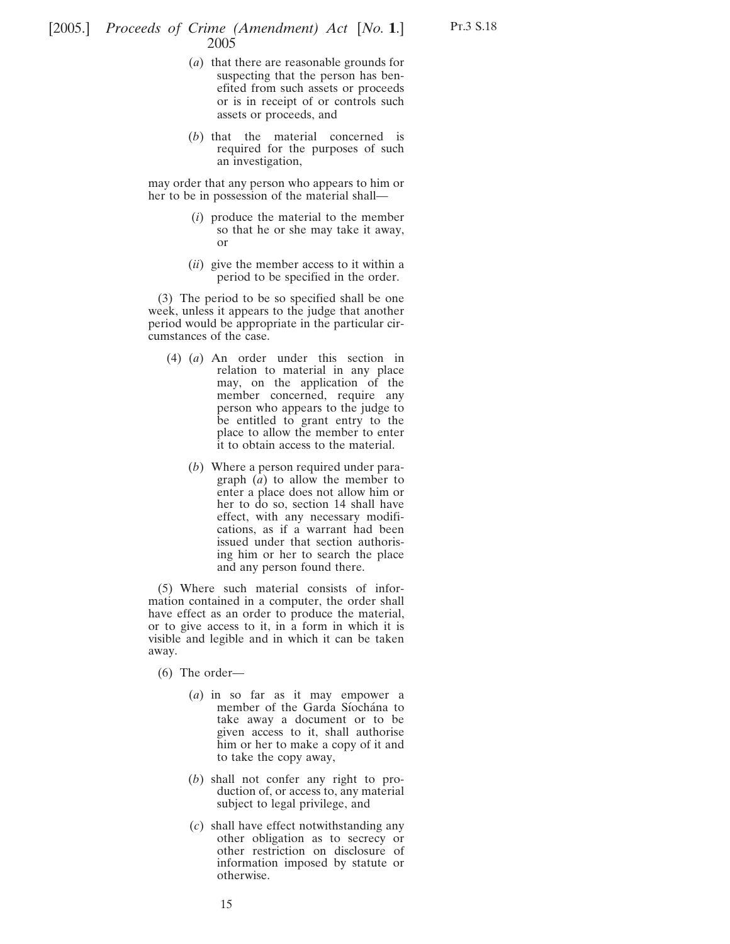- (*a*) that there are reasonable grounds for suspecting that the person has benefited from such assets or proceeds or is in receipt of or controls such assets or proceeds, and
- (*b*) that the material concerned is required for the purposes of such an investigation,

may order that any person who appears to him or her to be in possession of the material shall—

- (*i*) produce the material to the member so that he or she may take it away, or
- (*ii*) give the member access to it within a period to be specified in the order.

(3) The period to be so specified shall be one week, unless it appears to the judge that another period would be appropriate in the particular circumstances of the case.

- (4) (*a*) An order under this section in relation to material in any place may, on the application of the member concerned, require any person who appears to the judge to be entitled to grant entry to the place to allow the member to enter it to obtain access to the material.
	- (*b*) Where a person required under paragraph (*a*) to allow the member to enter a place does not allow him or her to do so, section 14 shall have effect, with any necessary modifications, as if a warrant had been issued under that section authorising him or her to search the place and any person found there.

(5) Where such material consists of information contained in a computer, the order shall have effect as an order to produce the material, or to give access to it, in a form in which it is visible and legible and in which it can be taken away.

(6) The order—

- (*a*) in so far as it may empower a member of the Garda Síochána to take away a document or to be given access to it, shall authorise him or her to make a copy of it and to take the copy away,
- (*b*) shall not confer any right to production of, or access to, any material subject to legal privilege, and
- (*c*) shall have effect notwithstanding any other obligation as to secrecy or other restriction on disclosure of information imposed by statute or otherwise.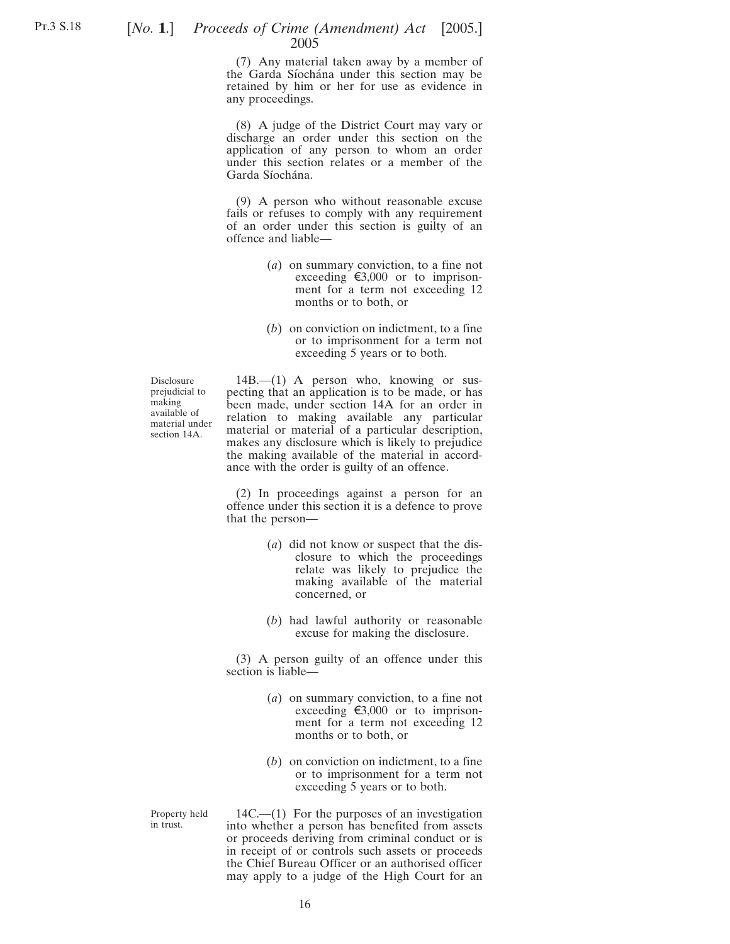### [*No.* **1**.] *Proceeds of Crime (Amendment) Act* [2005.] 2005

(7) Any material taken away by a member of the Garda Síochána under this section may be retained by him or her for use as evidence in any proceedings.

(8) A judge of the District Court may vary or discharge an order under this section on the application of any person to whom an order under this section relates or a member of the Garda Síochána.

(9) A person who without reasonable excuse fails or refuses to comply with any requirement of an order under this section is guilty of an offence and liable—

- (*a*) on summary conviction, to a fine not exceeding  $\epsilon$ 3,000 or to imprisonment for a term not exceeding 12 months or to both, or
- (*b*) on conviction on indictment, to a fine or to imprisonment for a term not exceeding 5 years or to both.

Disclosure prejudicial to making available of material under section 14A.

14B.—(1) A person who, knowing or suspecting that an application is to be made, or has been made, under section 14A for an order in relation to making available any particular material or material of a particular description, makes any disclosure which is likely to prejudice the making available of the material in accordance with the order is guilty of an offence.

(2) In proceedings against a person for an offence under this section it is a defence to prove that the person—

- (*a*) did not know or suspect that the disclosure to which the proceedings relate was likely to prejudice the making available of the material concerned, or
- (*b*) had lawful authority or reasonable excuse for making the disclosure.

(3) A person guilty of an offence under this section is liable—

- (*a*) on summary conviction, to a fine not exceeding  $\epsilon$ 3,000 or to imprisonment for a term not exceeding 12 months or to both, or
- (*b*) on conviction on indictment, to a fine or to imprisonment for a term not exceeding 5 years or to both.

Property held in trust.

14C.—(1) For the purposes of an investigation into whether a person has benefited from assets or proceeds deriving from criminal conduct or is in receipt of or controls such assets or proceeds the Chief Bureau Officer or an authorised officer may apply to a judge of the High Court for an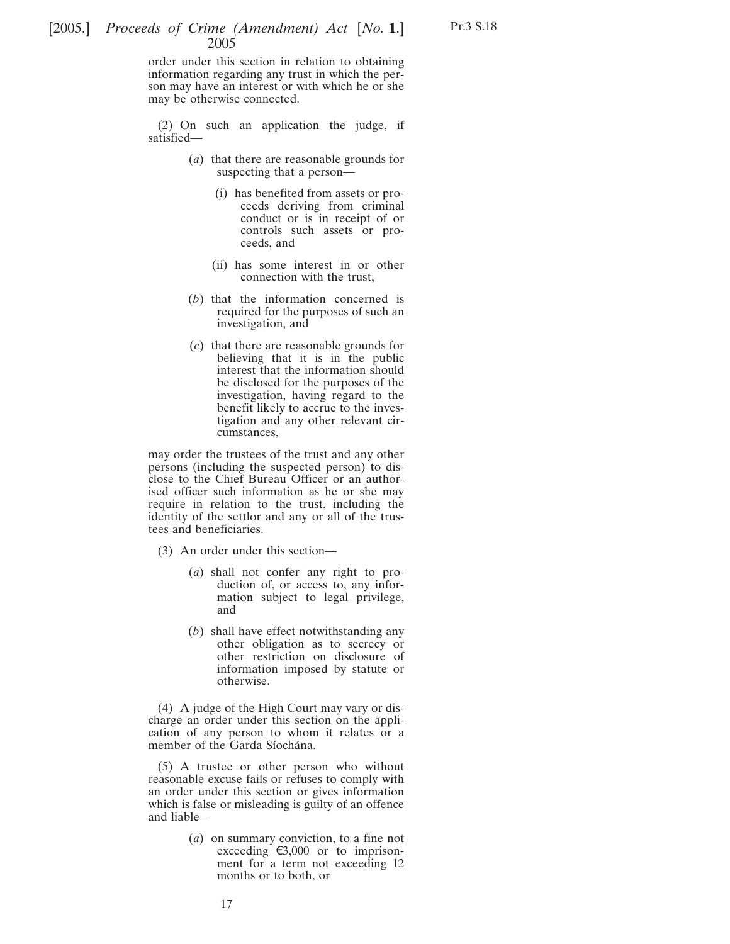order under this section in relation to obtaining information regarding any trust in which the person may have an interest or with which he or she may be otherwise connected.

(2) On such an application the judge, if satisfied—

- (*a*) that there are reasonable grounds for suspecting that a person—
	- (i) has benefited from assets or proceeds deriving from criminal conduct or is in receipt of or controls such assets or proceeds, and

Pt.3 S.18

- (ii) has some interest in or other connection with the trust,
- (*b*) that the information concerned is required for the purposes of such an investigation, and
- (*c*) that there are reasonable grounds for believing that it is in the public interest that the information should be disclosed for the purposes of the investigation, having regard to the benefit likely to accrue to the investigation and any other relevant circumstances,

may order the trustees of the trust and any other persons (including the suspected person) to disclose to the Chief Bureau Officer or an authorised officer such information as he or she may require in relation to the trust, including the identity of the settlor and any or all of the trustees and beneficiaries.

(3) An order under this section—

- (*a*) shall not confer any right to production of, or access to, any information subject to legal privilege, and
- (*b*) shall have effect notwithstanding any other obligation as to secrecy or other restriction on disclosure of information imposed by statute or otherwise.

(4) A judge of the High Court may vary or discharge an order under this section on the application of any person to whom it relates or a member of the Garda Síochána.

(5) A trustee or other person who without reasonable excuse fails or refuses to comply with an order under this section or gives information which is false or misleading is guilty of an offence and liable—

> (*a*) on summary conviction, to a fine not exceeding  $\epsilon$ 3,000 or to imprisonment for a term not exceeding 12 months or to both, or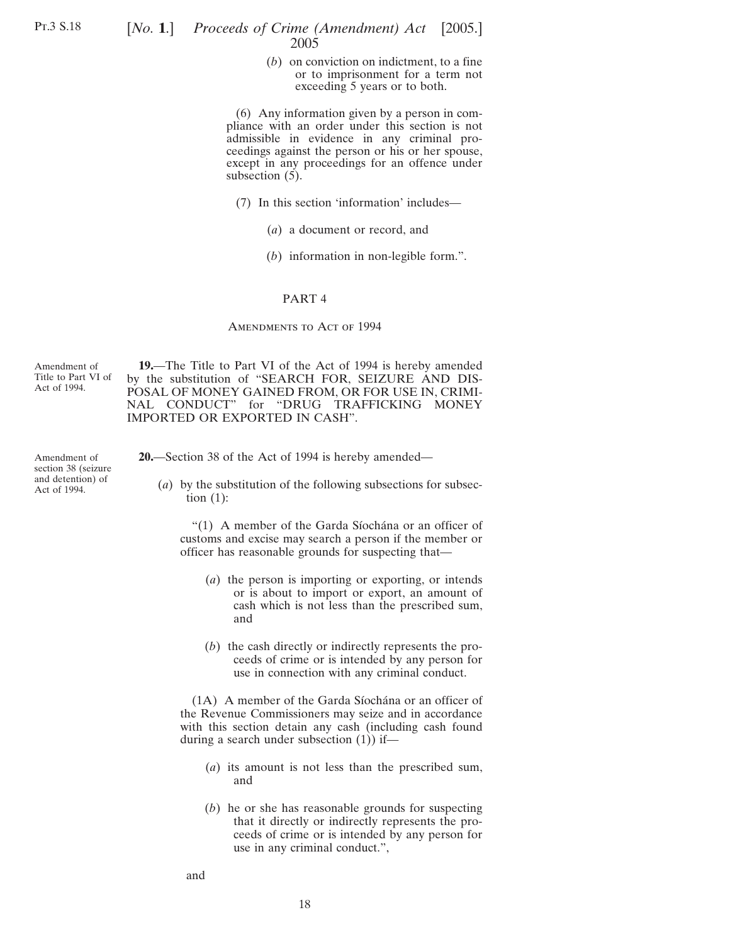## [*No.* **1**.] *Proceeds of Crime (Amendment) Act* [2005.] 2005

(*b*) on conviction on indictment, to a fine or to imprisonment for a term not exceeding 5 years or to both.

(6) Any information given by a person in compliance with an order under this section is not admissible in evidence in any criminal proceedings against the person or his or her spouse, except in any proceedings for an offence under subsection  $(5)$ .

- (7) In this section 'information' includes—
	- (*a*) a document or record, and
	- (*b*) information in non-legible form.".

#### PART 4

#### AMENDMENTS TO ACT OF 1994

Amendment of Title to Part VI of Act of 1994.

**19.**—The Title to Part VI of the Act of 1994 is hereby amended by the substitution of "SEARCH FOR, SEIZURE AND DIS-POSAL OF MONEY GAINED FROM, OR FOR USE IN, CRIMI-NAL CONDUCT" for "DRUG TRAFFICKING MONEY IMPORTED OR EXPORTED IN CASH".

Amendment of section 38 (seizure and detention) of Act of 1994.

**20.**—Section 38 of the Act of 1994 is hereby amended—

(*a*) by the substitution of the following subsections for subsection (1):

"(1) A member of the Garda Síochána or an officer of customs and excise may search a person if the member or officer has reasonable grounds for suspecting that—

- (*a*) the person is importing or exporting, or intends or is about to import or export, an amount of cash which is not less than the prescribed sum, and
- (*b*) the cash directly or indirectly represents the proceeds of crime or is intended by any person for use in connection with any criminal conduct.

(1A) A member of the Garda Síochána or an officer of the Revenue Commissioners may seize and in accordance with this section detain any cash (including cash found during a search under subsection (1)) if—

- (*a*) its amount is not less than the prescribed sum, and
- (*b*) he or she has reasonable grounds for suspecting that it directly or indirectly represents the proceeds of crime or is intended by any person for use in any criminal conduct.",

and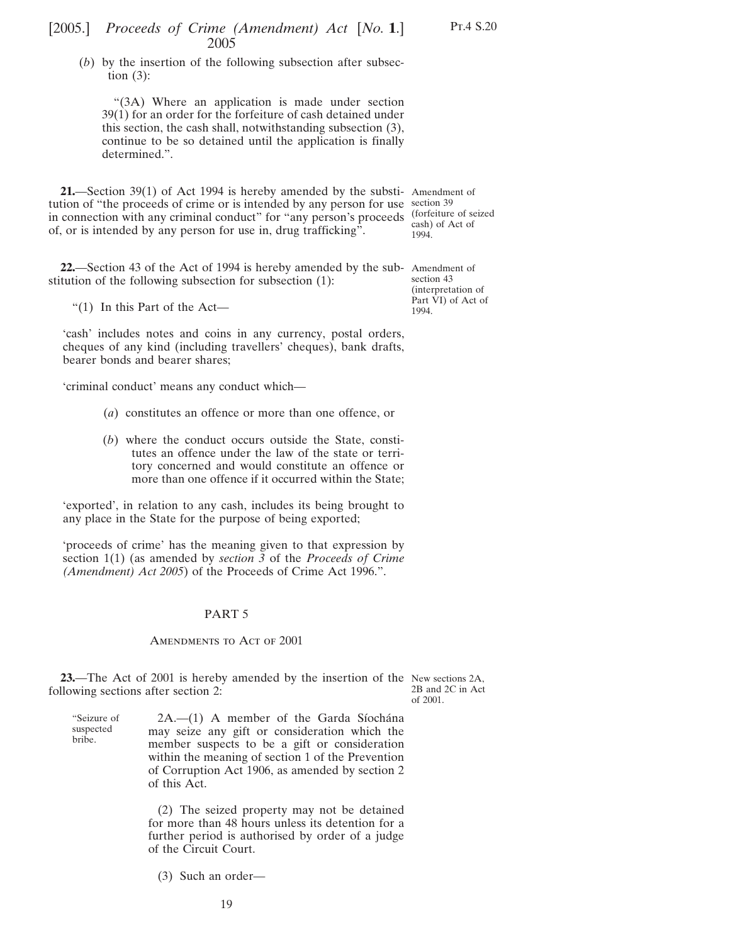## [2005.] [ *Proceeds of Crime (Amendment) Act No.* **1**.] 2005

(*b*) by the insertion of the following subsection after subsection  $(3)$ :

"(3A) Where an application is made under section 39(1) for an order for the forfeiture of cash detained under this section, the cash shall, notwithstanding subsection (3), continue to be so detained until the application is finally determined.".

**21.**—Section 39(1) of Act 1994 is hereby amended by the substi-Amendment of tution of "the proceeds of crime or is intended by any person for use section 39 in connection with any criminal conduct" for "any person's proceeds (forfeiture of seized of, or is intended by any person for use in, drug trafficking".

cash) of Act of 1994.

**22.**—Section 43 of the Act of 1994 is hereby amended by the sub-Amendment of stitution of the following subsection for subsection (1):

"(1) In this Part of the Act—

"Seizure of suspected bribe.

'cash' includes notes and coins in any currency, postal orders, cheques of any kind (including travellers' cheques), bank drafts, bearer bonds and bearer shares;

'criminal conduct' means any conduct which—

- (*a*) constitutes an offence or more than one offence, or
- (*b*) where the conduct occurs outside the State, constitutes an offence under the law of the state or territory concerned and would constitute an offence or more than one offence if it occurred within the State;

'exported', in relation to any cash, includes its being brought to any place in the State for the purpose of being exported;

'proceeds of crime' has the meaning given to that expression by section 1(1) (as amended by *section 3* of the *Proceeds of Crime (Amendment) Act 2005*) of the Proceeds of Crime Act 1996.".

### PART 5

#### AMENDMENTS TO ACT OF 2001

**23.**—The Act of 2001 is hereby amended by the insertion of the New sections 2A, following sections after section 2:

2B and 2C in Act of 2001.

 $2A$ .— $(1)$  A member of the Garda Síochána may seize any gift or consideration which the member suspects to be a gift or consideration within the meaning of section 1 of the Prevention of Corruption Act 1906, as amended by section 2 of this Act.

(2) The seized property may not be detained for more than 48 hours unless its detention for a further period is authorised by order of a judge of the Circuit Court.

(3) Such an order—

19

section 43 (interpretation of Part VI) of Act of 1994.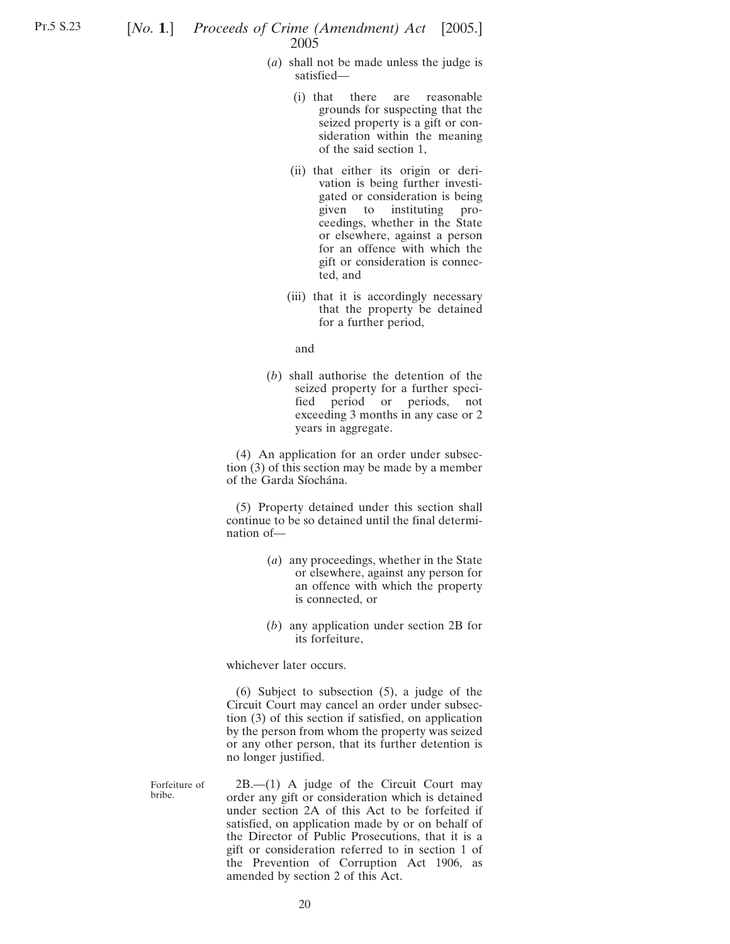- (*a*) shall not be made unless the judge is satisfied—
	- (i) that there are reasonable grounds for suspecting that the seized property is a gift or consideration within the meaning of the said section 1,
	- (ii) that either its origin or derivation is being further investigated or consideration is being given to instituting proceedings, whether in the State or elsewhere, against a person for an offence with which the gift or consideration is connected, and
	- (iii) that it is accordingly necessary that the property be detained for a further period,

and

(*b*) shall authorise the detention of the seized property for a further specified period or periods, not exceeding 3 months in any case or 2 years in aggregate.

(4) An application for an order under subsection (3) of this section may be made by a member of the Garda Síochána.

(5) Property detained under this section shall continue to be so detained until the final determination of—

- (*a*) any proceedings, whether in the State or elsewhere, against any person for an offence with which the property is connected, or
- (*b*) any application under section 2B for its forfeiture,

whichever later occurs.

(6) Subject to subsection (5), a judge of the Circuit Court may cancel an order under subsection (3) of this section if satisfied, on application by the person from whom the property was seized or any other person, that its further detention is no longer justified.

Forfeiture of bribe.

2B.—(1) A judge of the Circuit Court may order any gift or consideration which is detained under section 2A of this Act to be forfeited if satisfied, on application made by or on behalf of the Director of Public Prosecutions, that it is a gift or consideration referred to in section 1 of the Prevention of Corruption Act 1906, as amended by section 2 of this Act.